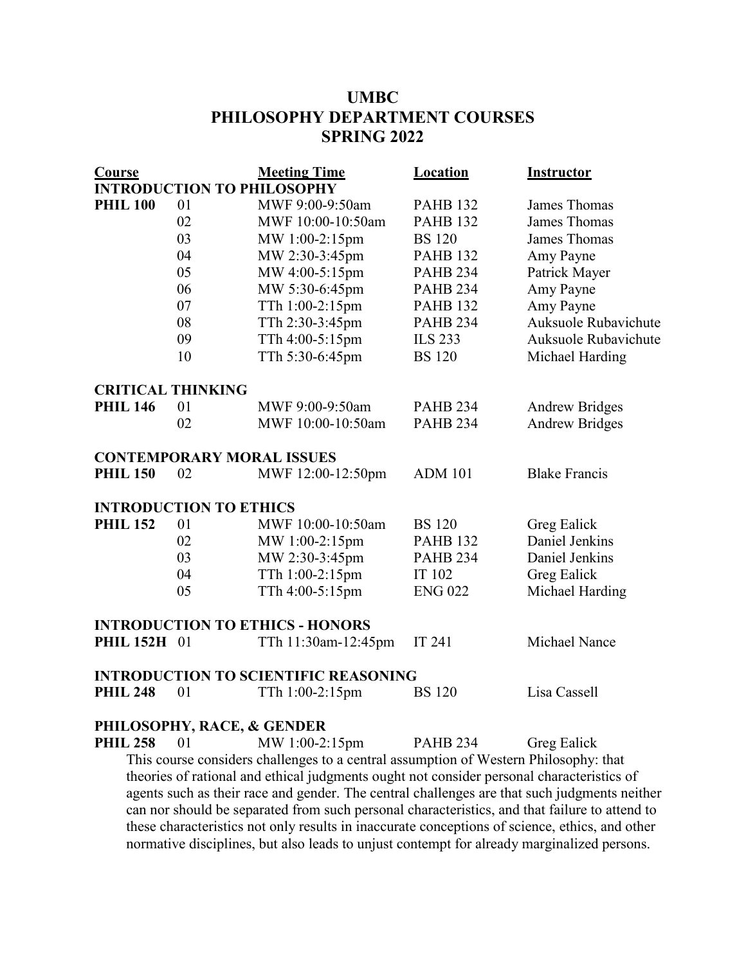## **UMBC PHILOSOPHY DEPARTMENT COURSES SPRING 2022**

| <b>Course</b>                 |    | <b>Meeting Time</b>                                                                  | <b>Location</b> | <b>Instructor</b>     |
|-------------------------------|----|--------------------------------------------------------------------------------------|-----------------|-----------------------|
|                               |    | <b>INTRODUCTION TO PHILOSOPHY</b>                                                    |                 |                       |
| <b>PHIL 100</b>               | 01 | MWF 9:00-9:50am                                                                      | <b>PAHB 132</b> | James Thomas          |
|                               | 02 | MWF 10:00-10:50am                                                                    | <b>PAHB 132</b> | <b>James Thomas</b>   |
|                               | 03 | MW 1:00-2:15pm                                                                       | <b>BS</b> 120   | James Thomas          |
|                               | 04 | MW 2:30-3:45pm                                                                       | <b>PAHB 132</b> | Amy Payne             |
|                               | 05 | MW 4:00-5:15pm                                                                       | <b>PAHB 234</b> | Patrick Mayer         |
|                               | 06 | MW 5:30-6:45pm                                                                       | <b>PAHB 234</b> | Amy Payne             |
|                               | 07 | TTh 1:00-2:15pm                                                                      | <b>PAHB 132</b> | Amy Payne             |
|                               | 08 | TTh 2:30-3:45pm                                                                      | <b>PAHB 234</b> | Auksuole Rubavichute  |
|                               | 09 | TTh 4:00-5:15pm                                                                      | <b>ILS 233</b>  | Auksuole Rubavichute  |
|                               | 10 | TTh 5:30-6:45pm                                                                      | <b>BS</b> 120   | Michael Harding       |
| <b>CRITICAL THINKING</b>      |    |                                                                                      |                 |                       |
| <b>PHIL 146</b>               | 01 | MWF 9:00-9:50am                                                                      | <b>PAHB 234</b> | <b>Andrew Bridges</b> |
|                               | 02 | MWF 10:00-10:50am                                                                    | <b>PAHB 234</b> | <b>Andrew Bridges</b> |
|                               |    | <b>CONTEMPORARY MORAL ISSUES</b>                                                     |                 |                       |
| <b>PHIL 150</b>               | 02 | MWF 12:00-12:50pm                                                                    | <b>ADM 101</b>  | <b>Blake Francis</b>  |
| <b>INTRODUCTION TO ETHICS</b> |    |                                                                                      |                 |                       |
| <b>PHIL 152</b>               | 01 | MWF 10:00-10:50am                                                                    | <b>BS</b> 120   | Greg Ealick           |
|                               | 02 | MW 1:00-2:15pm                                                                       | <b>PAHB 132</b> | Daniel Jenkins        |
|                               | 03 | MW 2:30-3:45pm                                                                       | <b>PAHB 234</b> | Daniel Jenkins        |
|                               | 04 | TTh 1:00-2:15pm                                                                      | IT 102          | Greg Ealick           |
|                               | 05 | TTh 4:00-5:15pm                                                                      | <b>ENG 022</b>  | Michael Harding       |
|                               |    | <b>INTRODUCTION TO ETHICS - HONORS</b>                                               |                 |                       |
| <b>PHIL 152H 01</b>           |    | TTh 11:30am-12:45pm                                                                  | IT 241          | Michael Nance         |
|                               |    | <b>INTRODUCTION TO SCIENTIFIC REASONING</b>                                          |                 |                       |
| <b>PHIL 248</b>               | 01 | TTh 1:00-2:15pm                                                                      | <b>BS</b> 120   | Lisa Cassell          |
|                               |    | PHILOSOPHY, RACE, & GENDER                                                           |                 |                       |
| <b>PHIL 258</b>               | 01 | MW 1:00-2:15pm                                                                       | <b>PAHB 234</b> | Greg Ealick           |
|                               |    | This course considers challenges to a central assumption of Western Philosophy: that |                 |                       |

theories of rational and ethical judgments ought not consider personal characteristics of agents such as their race and gender. The central challenges are that such judgments neither can nor should be separated from such personal characteristics, and that failure to attend to these characteristics not only results in inaccurate conceptions of science, ethics, and other normative disciplines, but also leads to unjust contempt for already marginalized persons.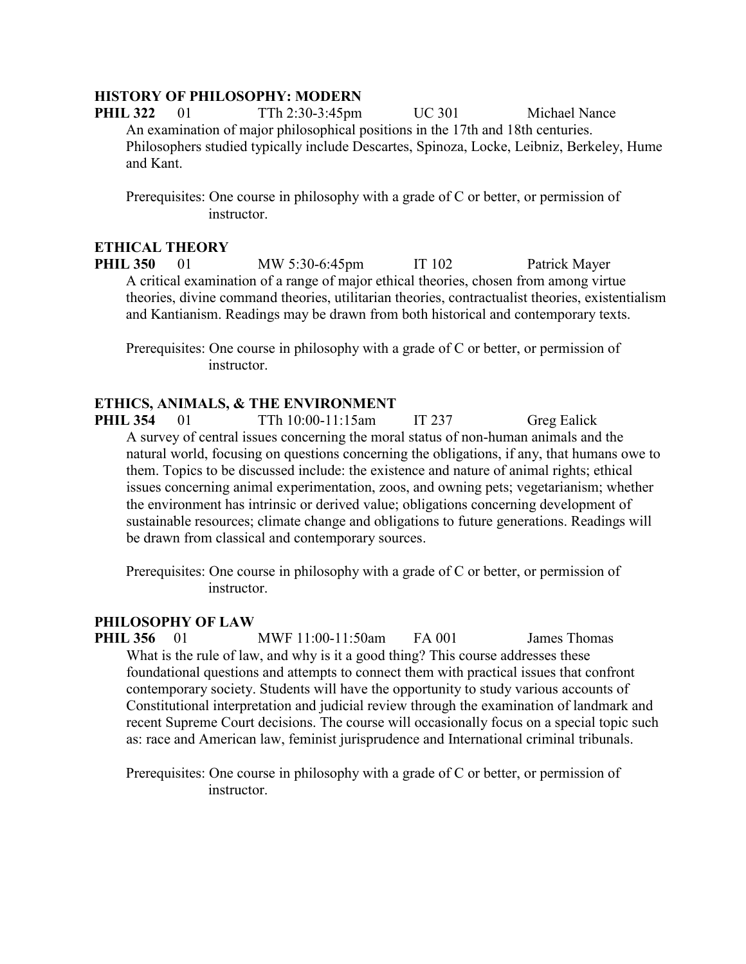## **HISTORY OF PHILOSOPHY: MODERN**

**PHIL 322** 01 TTh 2:30-3:45pm UC 301 Michael Nance An examination of major philosophical positions in the 17th and 18th centuries. Philosophers studied typically include Descartes, Spinoza, Locke, Leibniz, Berkeley, Hume and Kant.

Prerequisites: One course in philosophy with a grade of C or better, or permission of instructor.

## **ETHICAL THEORY**

**PHIL 350** 01 MW 5:30-6:45pm IT 102 Patrick Mayer A critical examination of a range of major ethical theories, chosen from among virtue theories, divine command theories, utilitarian theories, contractualist theories, existentialism and Kantianism. Readings may be drawn from both historical and contemporary texts.

Prerequisites: One course in philosophy with a grade of C or better, or permission of instructor.

## **ETHICS, ANIMALS, & THE ENVIRONMENT**

**PHIL 354** 01 TTh 10:00-11:15am IT 237 Greg Ealick A survey of central issues concerning the moral status of non-human animals and the natural world, focusing on questions concerning the obligations, if any, that humans owe to them. Topics to be discussed include: the existence and nature of animal rights; ethical issues concerning animal experimentation, zoos, and owning pets; vegetarianism; whether the environment has intrinsic or derived value; obligations concerning development of sustainable resources; climate change and obligations to future generations. Readings will be drawn from classical and contemporary sources.

Prerequisites: One course in philosophy with a grade of C or better, or permission of instructor.

## **PHILOSOPHY OF LAW**

**PHIL 356** 01 MWF 11:00-11:50am FA 001 James Thomas What is the rule of law, and why is it a good thing? This course addresses these foundational questions and attempts to connect them with practical issues that confront contemporary society. Students will have the opportunity to study various accounts of Constitutional interpretation and judicial review through the examination of landmark and recent Supreme Court decisions. The course will occasionally focus on a special topic such as: race and American law, feminist jurisprudence and International criminal tribunals.

Prerequisites: One course in philosophy with a grade of C or better, or permission of instructor.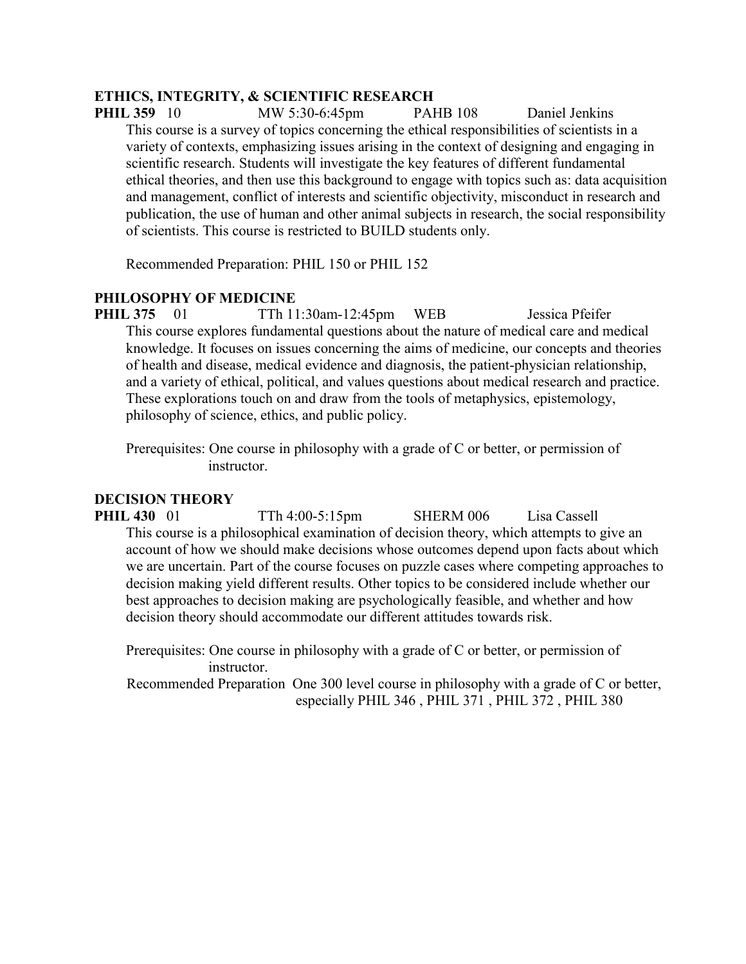## **ETHICS, INTEGRITY, & SCIENTIFIC RESEARCH**

**PHIL 359** 10 MW 5:30-6:45pm PAHB 108 Daniel Jenkins This course is a survey of topics concerning the ethical responsibilities of scientists in a variety of contexts, emphasizing issues arising in the context of designing and engaging in scientific research. Students will investigate the key features of different fundamental ethical theories, and then use this background to engage with topics such as: data acquisition and management, conflict of interests and scientific objectivity, misconduct in research and publication, the use of human and other animal subjects in research, the social responsibility of scientists. This course is restricted to BUILD students only.

Recommended Preparation: PHIL 150 or PHIL 152

## **PHILOSOPHY OF MEDICINE**

**PHIL 375** 01 TTh 11:30am-12:45pm WEB Jessica Pfeifer This course explores fundamental questions about the nature of medical care and medical knowledge. It focuses on issues concerning the aims of medicine, our concepts and theories of health and disease, medical evidence and diagnosis, the patient-physician relationship, and a variety of ethical, political, and values questions about medical research and practice. These explorations touch on and draw from the tools of metaphysics, epistemology, philosophy of science, ethics, and public policy.

Prerequisites: One course in philosophy with a grade of C or better, or permission of instructor.

## **DECISION THEORY**

**PHIL 430** 01 TTh 4:00-5:15pm SHERM 006 Lisa Cassell This course is a philosophical examination of decision theory, which attempts to give an account of how we should make decisions whose outcomes depend upon facts about which we are uncertain. Part of the course focuses on puzzle cases where competing approaches to decision making yield different results. Other topics to be considered include whether our best approaches to decision making are psychologically feasible, and whether and how decision theory should accommodate our different attitudes towards risk.

Prerequisites: One course in philosophy with a grade of C or better, or permission of instructor.

Recommended Preparation One 300 level course in philosophy with a grade of C or better, especially PHIL 346 , PHIL 371 , PHIL 372 , PHIL 380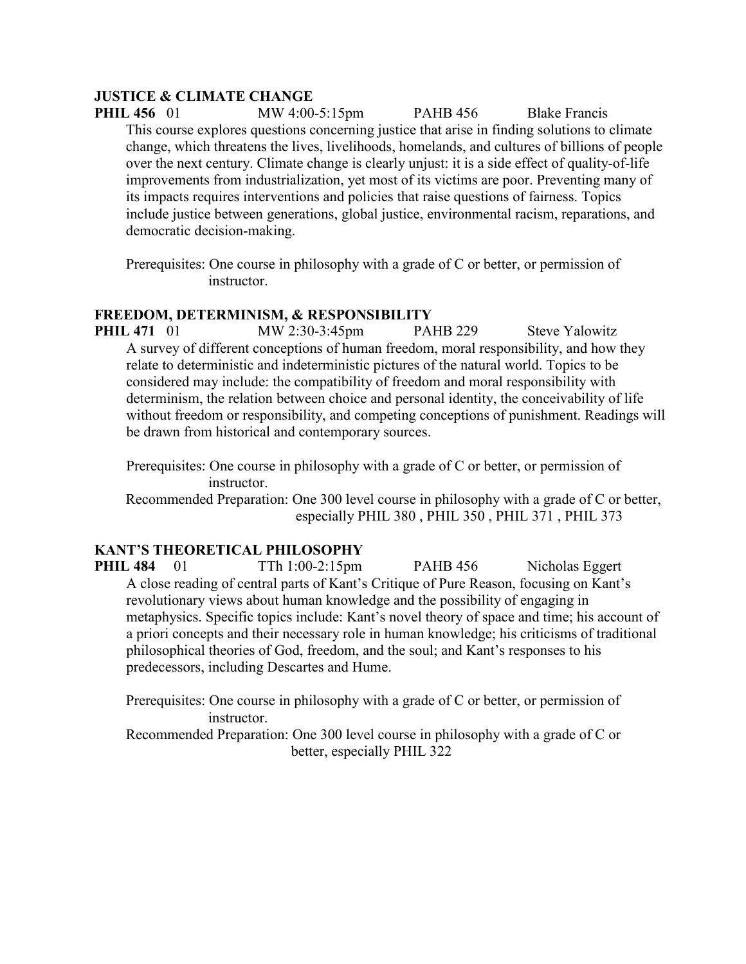## **JUSTICE & CLIMATE CHANGE**

**PHIL 456** 01 MW 4:00-5:15pm PAHB 456 Blake Francis This course explores questions concerning justice that arise in finding solutions to climate change, which threatens the lives, livelihoods, homelands, and cultures of billions of people over the next century. Climate change is clearly unjust: it is a side effect of quality-of-life improvements from industrialization, yet most of its victims are poor. Preventing many of its impacts requires interventions and policies that raise questions of fairness. Topics include justice between generations, global justice, environmental racism, reparations, and democratic decision-making.

Prerequisites: One course in philosophy with a grade of C or better, or permission of instructor.

## **FREEDOM, DETERMINISM, & RESPONSIBILITY**

**PHIL 471** 01 MW 2:30-3:45pm PAHB 229 Steve Yalowitz A survey of different conceptions of human freedom, moral responsibility, and how they relate to deterministic and indeterministic pictures of the natural world. Topics to be considered may include: the compatibility of freedom and moral responsibility with determinism, the relation between choice and personal identity, the conceivability of life without freedom or responsibility, and competing conceptions of punishment. Readings will be drawn from historical and contemporary sources.

Prerequisites: One course in philosophy with a grade of C or better, or permission of instructor.

Recommended Preparation: One 300 level course in philosophy with a grade of C or better, especially PHIL 380 , PHIL 350 , PHIL 371 , PHIL 373

## **KANT'S THEORETICAL PHILOSOPHY**

**PHIL 484** 01 TTh 1:00-2:15pm PAHB 456 Nicholas Eggert A close reading of central parts of Kant's Critique of Pure Reason, focusing on Kant's revolutionary views about human knowledge and the possibility of engaging in metaphysics. Specific topics include: Kant's novel theory of space and time; his account of a priori concepts and their necessary role in human knowledge; his criticisms of traditional philosophical theories of God, freedom, and the soul; and Kant's responses to his predecessors, including Descartes and Hume.

Prerequisites: One course in philosophy with a grade of C or better, or permission of instructor.

Recommended Preparation: One 300 level course in philosophy with a grade of C or better, especially PHIL 322